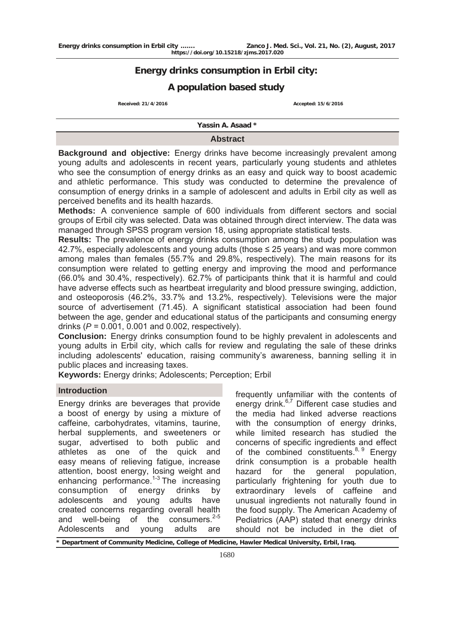# **Energy drinks consumption in Erbil city:**

# **A population based study**

**Received: 21/4/2016 Received: 21/4/2016** 

**Yassin A. Asaad \***

### **Abstract**

**Background and objective:** Energy drinks have become increasingly prevalent among young adults and adolescents in recent years, particularly young students and athletes who see the consumption of energy drinks as an easy and quick way to boost academic and athletic performance. This study was conducted to determine the prevalence of consumption of energy drinks in a sample of adolescent and adults in Erbil city as well as perceived benefits and its health hazards.

**Methods:** A convenience sample of 600 individuals from different sectors and social groups of Erbil city was selected. Data was obtained through direct interview. The data was managed through SPSS program version 18, using appropriate statistical tests.

**Results:** The prevalence of energy drinks consumption among the study population was 42.7%, especially adolescents and young adults (those  $\leq$  25 years) and was more common among males than females (55.7% and 29.8%, respectively). The main reasons for its consumption were related to getting energy and improving the mood and performance (66.0% and 30.4%, respectively). 62.7% of participants think that it is harmful and could have adverse effects such as heartbeat irregularity and blood pressure swinging, addiction, and osteoporosis (46.2%, 33.7% and 13.2%, respectively). Televisions were the major source of advertisement (71.45). A significant statistical association had been found between the age, gender and educational status of the participants and consuming energy drinks (*P* = 0.001, 0.001 and 0.002, respectively).

**Conclusion:** Energy drinks consumption found to be highly prevalent in adolescents and young adults in Erbil city, which calls for review and regulating the sale of these drinks including adolescents' education, raising community's awareness, banning selling it in public places and increasing taxes.

**Keywords:** Energy drinks; Adolescents; Perception; Erbil

#### **Introduction**

Energy drinks are beverages that provide a boost of energy by using a mixture of caffeine, carbohydrates, vitamins, taurine, herbal supplements, and sweeteners or sugar, advertised to both public and athletes as one of the quick and easy means of relieving fatigue, increase attention, boost energy, losing weight and enhancing performance.<sup>1-3</sup> The increasing consumption of energy drinks by adolescents and young adults have created concerns regarding overall health and well-being of the consumers. $2-5$ Adolescents and young adults are

frequently unfamiliar with the contents of energy drink.<sup>6,7</sup> Different case studies and the media had linked adverse reactions with the consumption of energy drinks, while limited research has studied the concerns of specific ingredients and effect of the combined constituents. $8, 9$  Energy drink consumption is a probable health hazard for the general population, particularly frightening for youth due to extraordinary levels of caffeine and unusual ingredients not naturally found in the food supply. The American Academy of Pediatrics (AAP) stated that energy drinks should not be included in the diet of

Department of Community Medicine, College of Medicine, Hawler Medical University, Erbil, Iraq.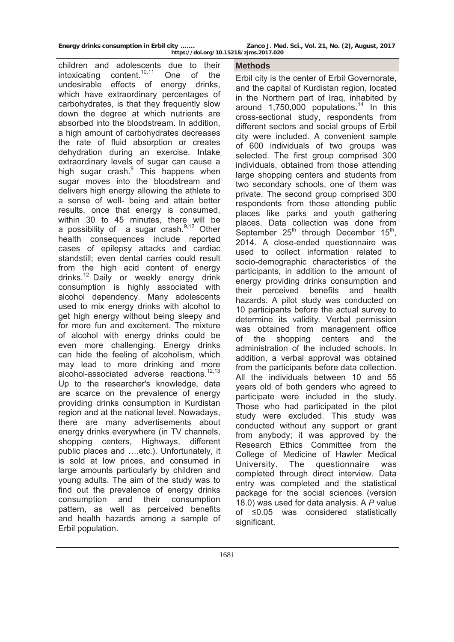children and adolescents due to their intoxicating content.<sup>10,11</sup> One of the undesirable effects of energy drinks, which have extraordinary percentages of carbohydrates, is that they frequently slow down the degree at which nutrients are absorbed into the bloodstream. In addition, a high amount of carbohydrates decreases the rate of fluid absorption or creates dehydration during an exercise. Intake extraordinary levels of sugar can cause a high sugar crash.<sup>9</sup> This happens when sugar moves into the bloodstream and delivers high energy allowing the athlete to a sense of well- being and attain better results, once that energy is consumed, within 30 to 45 minutes, there will be a possibility of a sugar crash. $9,12$  Other health consequences include reported cases of epilepsy attacks and cardiac standstill; even dental carries could result from the high acid content of energy drinks.<sup>12</sup> Daily or weekly energy drink consumption is highly associated with alcohol dependency. Many adolescents used to mix energy drinks with alcohol to get high energy without being sleepy and for more fun and excitement. The mixture of alcohol with energy drinks could be even more challenging. Energy drinks can hide the feeling of alcoholism, which may lead to more drinking and more alcohol-associated adverse  $reactions$ .<sup>12,13</sup> Up to the researcher's knowledge, data are scarce on the prevalence of energy providing drinks consumption in Kurdistan region and at the national level. Nowadays, there are many advertisements about energy drinks everywhere (in TV channels, shopping centers, Highways, different public places and ….etc.). Unfortunately, it is sold at low prices, and consumed in large amounts particularly by children and young adults. The aim of the study was to find out the prevalence of energy drinks consumption and their consumption pattern, as well as perceived benefits and health hazards among a sample of Erbil population.

#### **Methods**

Erbil city is the center of Erbil Governorate, and the capital of Kurdistan region, located in the Northern part of Iraq, inhabited by around  $1,750,000$  populations.<sup>14</sup> In this cross-sectional study, respondents from different sectors and social groups of Erbil city were included. A convenient sample of 600 individuals of two groups was selected. The first group comprised 300 individuals, obtained from those attending large shopping centers and students from two secondary schools, one of them was private. The second group comprised 300 respondents from those attending public places like parks and youth gathering places. Data collection was done from September  $25<sup>th</sup>$  through December  $15<sup>th</sup>$ , 2014. A close-ended questionnaire was used to collect information related to socio-demographic characteristics of the participants, in addition to the amount of energy providing drinks consumption and their perceived benefits and health hazards. A pilot study was conducted on 10 participants before the actual survey to determine its validity. Verbal permission was obtained from management office of the shopping centers and the administration of the included schools. In addition, a verbal approval was obtained from the participants before data collection. All the individuals between 10 and 55 years old of both genders who agreed to participate were included in the study. Those who had participated in the pilot study were excluded. This study was conducted without any support or grant from anybody; it was approved by the Research Ethics Committee from the College of Medicine of Hawler Medical University. The questionnaire was completed through direct interview. Data entry was completed and the statistical package for the social sciences (version 18.0) was used for data analysis. A *P* value of ≤0.05 was considered statistically significant.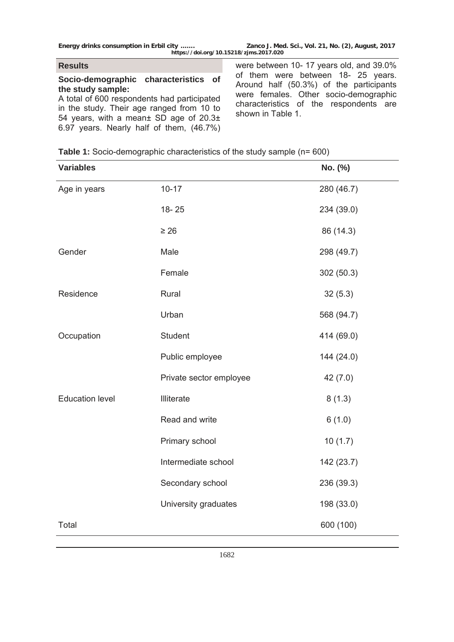## **Results**

## **Socio-demographic characteristics of the study sample:**

A total of 600 respondents had participated in the study. Their age ranged from 10 to 54 years, with a mean± SD age of 20.3± 6.97 years. Nearly half of them, (46.7%) were between 10- 17 years old, and 39.0% of them were between 18- 25 years. Around half (50.3%) of the participants were females. Other socio-demographic characteristics of the respondents are shown in Table 1.

|  | <b>Table 1:</b> Socio-demographic characteristics of the study sample (n= 600) |  |  |  |  |
|--|--------------------------------------------------------------------------------|--|--|--|--|
|  |                                                                                |  |  |  |  |

| <b>Variables</b>       |                         | No. (%)    |
|------------------------|-------------------------|------------|
| Age in years           | $10 - 17$               | 280 (46.7) |
|                        | $18 - 25$               | 234 (39.0) |
|                        | $\geq 26$               | 86 (14.3)  |
| Gender                 | Male                    | 298 (49.7) |
|                        | Female                  | 302 (50.3) |
| Residence              | Rural                   | 32(5.3)    |
|                        | Urban                   | 568 (94.7) |
| Occupation             | <b>Student</b>          | 414 (69.0) |
|                        | Public employee         | 144 (24.0) |
|                        | Private sector employee | 42 (7.0)   |
| <b>Education level</b> | Illiterate              | 8(1.3)     |
|                        | Read and write          | 6(1.0)     |
|                        | Primary school          | 10(1.7)    |
|                        | Intermediate school     | 142 (23.7) |
|                        | Secondary school        | 236 (39.3) |
|                        | University graduates    | 198 (33.0) |
| Total                  |                         | 600 (100)  |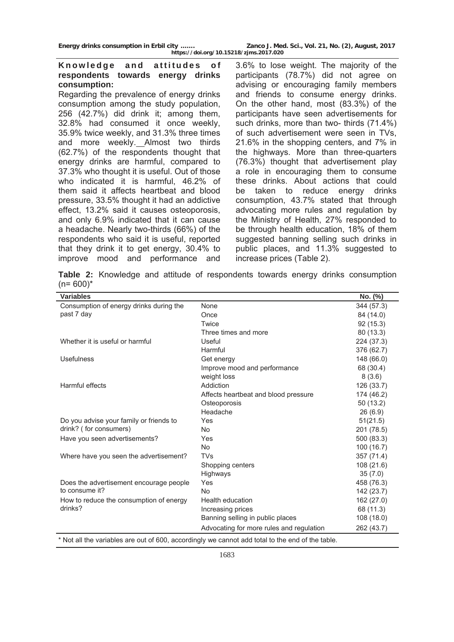**Energy drinks consumption in Erbil city ……. Zanco J. Med. Sci., Vol. 21, No. (2), August, 2017 https://doi.org/10.15218/zjms.2017.020**

## Knowledge and attitudes of **respondents towards energy drinks consumption:**

Regarding the prevalence of energy drinks consumption among the study population, 256 (42.7%) did drink it; among them, 32.8% had consumed it once weekly, 35.9% twice weekly, and 31.3% three times and more weekly. Almost two thirds (62.7%) of the respondents thought that energy drinks are harmful, compared to 37.3% who thought it is useful. Out of those who indicated it is harmful, 46.2% of them said it affects heartbeat and blood pressure, 33.5% thought it had an addictive effect, 13.2% said it causes osteoporosis, and only 6.9% indicated that it can cause a headache. Nearly two-thirds (66%) of the respondents who said it is useful, reported that they drink it to get energy, 30.4% to improve mood and performance and

3.6% to lose weight. The majority of the participants (78.7%) did not agree on advising or encouraging family members and friends to consume energy drinks. On the other hand, most (83.3%) of the participants have seen advertisements for such drinks, more than two- thirds (71.4%) of such advertisement were seen in TVs, 21.6% in the shopping centers, and 7% in the highways. More than three-quarters (76.3%) thought that advertisement play a role in encouraging them to consume these drinks. About actions that could be taken to reduce energy drinks consumption, 43.7% stated that through advocating more rules and regulation by the Ministry of Health, 27% responded to be through health education, 18% of them suggested banning selling such drinks in public places, and 11.3% suggested to increase prices (Table 2).

**Table 2:** Knowledge and attitude of respondents towards energy drinks consumption  $(n= 600)^*$ 

| <b>Variables</b>                                                                                                |                                          | No. (%)    |  |  |  |
|-----------------------------------------------------------------------------------------------------------------|------------------------------------------|------------|--|--|--|
| Consumption of energy drinks during the                                                                         | None                                     | 344 (57.3) |  |  |  |
| past 7 day                                                                                                      | Once                                     | 84 (14.0)  |  |  |  |
|                                                                                                                 | Twice                                    | 92 (15.3)  |  |  |  |
|                                                                                                                 | Three times and more                     | 80 (13.3)  |  |  |  |
| Whether it is useful or harmful                                                                                 | Useful                                   | 224 (37.3) |  |  |  |
|                                                                                                                 | Harmful                                  | 376 (62.7) |  |  |  |
| Usefulness                                                                                                      | Get energy                               | 148 (66.0) |  |  |  |
|                                                                                                                 | Improve mood and performance             | 68 (30.4)  |  |  |  |
|                                                                                                                 | weight loss                              | 8(3.6)     |  |  |  |
| Harmful effects                                                                                                 | Addiction                                | 126 (33.7) |  |  |  |
|                                                                                                                 | Affects heartbeat and blood pressure     | 174 (46.2) |  |  |  |
|                                                                                                                 | Osteoporosis                             | 50(13.2)   |  |  |  |
|                                                                                                                 | Headache                                 | 26(6.9)    |  |  |  |
| Do you advise your family or friends to                                                                         | Yes                                      | 51(21.5)   |  |  |  |
| drink? (for consumers)                                                                                          | <b>No</b>                                | 201 (78.5) |  |  |  |
| Have you seen advertisements?                                                                                   | Yes                                      | 500 (83.3) |  |  |  |
|                                                                                                                 | <b>No</b>                                | 100 (16.7) |  |  |  |
| Where have you seen the advertisement?                                                                          | <b>TVs</b>                               | 357 (71.4) |  |  |  |
|                                                                                                                 | Shopping centers                         | 108 (21.6) |  |  |  |
|                                                                                                                 | Highways                                 | 35(7.0)    |  |  |  |
| Does the advertisement encourage people                                                                         | Yes                                      | 458 (76.3) |  |  |  |
| to consume it?                                                                                                  | <b>No</b>                                | 142 (23.7) |  |  |  |
| How to reduce the consumption of energy                                                                         | <b>Health education</b>                  | 162 (27.0) |  |  |  |
| drinks?                                                                                                         | Increasing prices                        | 68 (11.3)  |  |  |  |
|                                                                                                                 | Banning selling in public places         | 108 (18.0) |  |  |  |
|                                                                                                                 | Advocating for more rules and regulation | 262 (43.7) |  |  |  |
| ald to the related to the tonner ow yinding to the boat and this pre-relation of the saldeirey add lie to the * |                                          |            |  |  |  |

Not all the variables are out of 600, accordingly we cannot add total to the end of the table.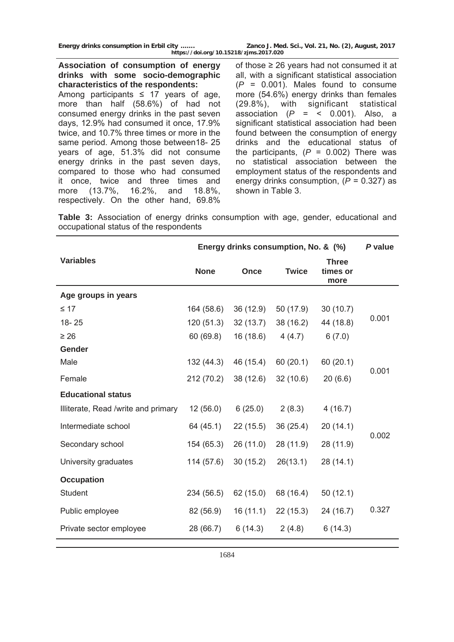**Energy drinks consumption in Erbil city ……. Zanco J. Med. Sci., Vol. 21, No. (2), August, 2017 https://doi.org/10.15218/zjms.2017.020**

**Association of consumption of energy drinks with some socio-demographic characteristics of the respondents:** 

Among participants  $\leq$  17 years of age, more than half (58.6%) of had not consumed energy drinks in the past seven days, 12.9% had consumed it once, 17.9% twice, and 10.7% three times or more in the same period. Among those between18- 25 years of age, 51.3% did not consume energy drinks in the past seven days, compared to those who had consumed it once, twice and three times and more (13.7%, 16.2%, and 18.8%, respectively. On the other hand, 69.8% of those  $\geq 26$  years had not consumed it at all, with a significant statistical association (*P* = 0.001). Males found to consume more (54.6%) energy drinks than females (29.8%), with significant statistical association  $(P = \langle 0.001 \rangle)$ . Also, a significant statistical association had been found between the consumption of energy drinks and the educational status of the participants,  $(P = 0.002)$  There was no statistical association between the employment status of the respondents and energy drinks consumption, (*P* = 0.327) as shown in Table 3.

**Table 3:** Association of energy drinks consumption with age, gender, educational and occupational status of the respondents

|                                     | Energy drinks consumption, No. & (%) | P value   |              |                                  |       |  |
|-------------------------------------|--------------------------------------|-----------|--------------|----------------------------------|-------|--|
| <b>Variables</b>                    | <b>None</b>                          | Once      | <b>Twice</b> | <b>Three</b><br>times or<br>more |       |  |
| Age groups in years                 |                                      |           |              |                                  |       |  |
| $\leq 17$                           | 164 (58.6)                           | 36(12.9)  | 50 (17.9)    | 30(10.7)                         |       |  |
| $18 - 25$                           | 120(51.3)                            | 32(13.7)  | 38 (16.2)    | 44 (18.8)                        | 0.001 |  |
| $\geq 26$                           | 60(69.8)                             | 16(18.6)  | 4(4.7)       | 6(7.0)                           |       |  |
| Gender                              |                                      |           |              |                                  |       |  |
| Male                                | 132(44.3)                            | 46 (15.4) | 60(20.1)     | 60(20.1)                         |       |  |
| Female                              | 212 (70.2)                           | 38 (12.6) | 32(10.6)     | 20(6.6)                          | 0.001 |  |
| <b>Educational status</b>           |                                      |           |              |                                  |       |  |
| Illiterate, Read /write and primary | 12(56.0)                             | 6(25.0)   | 2(8.3)       | 4(16.7)                          |       |  |
| Intermediate school                 | 64 (45.1)                            | 22 (15.5) | 36 (25.4)    | 20(14.1)                         | 0.002 |  |
| Secondary school                    | 154 (65.3)                           | 26(11.0)  | 28 (11.9)    | 28 (11.9)                        |       |  |
| University graduates                | 114(57.6)                            | 30(15.2)  | 26(13.1)     | 28 (14.1)                        |       |  |
| <b>Occupation</b>                   |                                      |           |              |                                  |       |  |
| Student                             | 234 (56.5)                           | 62 (15.0) | 68 (16.4)    | 50(12.1)                         |       |  |
| Public employee                     | 82 (56.9)                            | 16(11.1)  | 22(15.3)     | 24(16.7)                         | 0.327 |  |
| Private sector employee             | 28 (66.7)                            | 6(14.3)   | 2(4.8)       | 6(14.3)                          |       |  |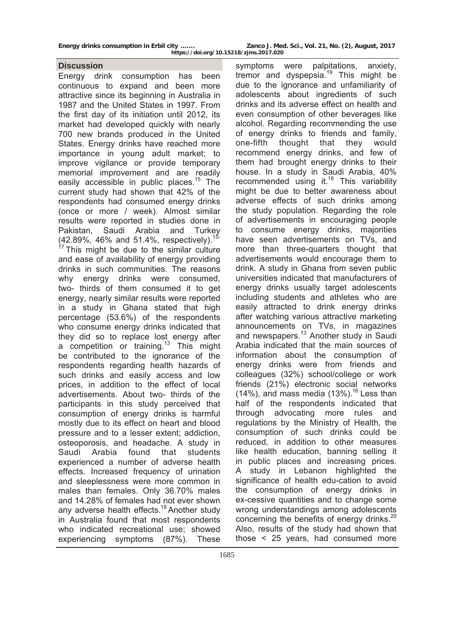#### **Discussion**

Energy drink consumption has been continuous to expand and been more attractive since its beginning in Australia in 1987 and the United States in 1997. From the first day of its initiation until 2012, its market had developed quickly with nearly 700 new brands produced in the United States. Energy drinks have reached more importance in young adult market; to improve vigilance or provide temporary memorial improvement and are readily easily accessible in public places.<sup>15</sup> The current study had shown that 42% of the respondents had consumed energy drinks (once or more / week). Almost similar results were reported in studies done in Pakistan, Saudi Arabia and Turkey  $(42.89\%, 46\% \text{ and } 51.4\%, \text{ respectively}).$ <sup>1</sup>  $17$  This might be due to the similar culture and ease of availability of energy providing drinks in such communities. The reasons why energy drinks were consumed, two- thirds of them consumed it to get energy, nearly similar results were reported in a study in Ghana stated that high percentage (53.6%) of the respondents who consume energy drinks indicated that they did so to replace lost energy after a competition or training.<sup>13</sup> This might be contributed to the ignorance of the respondents regarding health hazards of such drinks and easily access and low prices, in addition to the effect of local advertisements. About two- thirds of the participants in this study perceived that consumption of energy drinks is harmful mostly due to its effect on heart and blood pressure and to a lesser extent; addiction, osteoporosis, and headache. A study in Saudi Arabia found that students experienced a number of adverse health effects. Increased frequency of urination and sleeplessness were more common in males than females. Only 36.70% males and 14.28% of females had not ever shown any adverse health effects.<sup>18</sup> Another study in Australia found that most respondents who indicated recreational use; showed experiencing symptoms (87%). These

symptoms were palpitations, anxiety, tremor and dyspepsia.<sup>19</sup> This might be due to the ignorance and unfamiliarity of adolescents about ingredients of such drinks and its adverse effect on health and even consumption of other beverages like alcohol. Regarding recommending the use of energy drinks to friends and family, one-fifth thought that they would recommend energy drinks, and few of them had brought energy drinks to their house. In a study in Saudi Arabia, 40% recommended using it. $18$  This variability might be due to better awareness about adverse effects of such drinks among the study population. Regarding the role of advertisements in encouraging people to consume energy drinks, majorities have seen advertisements on TVs, and more than three-quarters thought that advertisements would encourage them to drink. A study in Ghana from seven public universities indicated that manufacturers of energy drinks usually target adolescents including students and athletes who are easily attracted to drink energy drinks after watching various attractive marketing announcements on TVs, in magazines and newspapers.<sup>13</sup> Another study in Saudi Arabia indicated that the main sources of information about the consumption of energy drinks were from friends and colleagues (32%) school/college or work friends (21%) electronic social networks  $(14%)$ , and mass media  $(13%)$ .<sup>16</sup> Less than half of the respondents indicated that through advocating more rules and regulations by the Ministry of Health, the consumption of such drinks could be reduced, in addition to other measures like health education, banning selling it in public places and increasing prices. A study in Lebanon highlighted the significance of health edu-cation to avoid the consumption of energy drinks in ex-cessive quantities and to change some wrong understandings among adolescents concerning the benefits of energy drinks.<sup>20</sup> Also, results of the study had shown that those < 25 years, had consumed more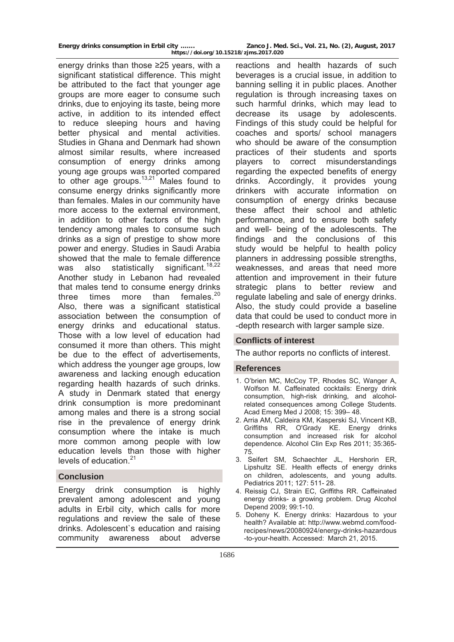energy drinks than those ≥25 years, with a significant statistical difference. This might be attributed to the fact that younger age groups are more eager to consume such drinks, due to enjoying its taste, being more active, in addition to its intended effect to reduce sleeping hours and having better physical and mental activities. Studies in Ghana and Denmark had shown almost similar results, where increased consumption of energy drinks among young age groups was reported compared to other age groups. $13,21$  Males found to consume energy drinks significantly more than females. Males in our community have more access to the external environment, in addition to other factors of the high tendency among males to consume such drinks as a sign of prestige to show more power and energy. Studies in Saudi Arabia showed that the male to female difference was also statistically significant.<sup>18,22</sup> Another study in Lebanon had revealed that males tend to consume energy drinks three times more than females. $20$ Also, there was a significant statistical association between the consumption of energy drinks and educational status. Those with a low level of education had consumed it more than others. This might be due to the effect of advertisements, which address the younger age groups, low awareness and lacking enough education regarding health hazards of such drinks. A study in Denmark stated that energy drink consumption is more predominant among males and there is a strong social rise in the prevalence of energy drink consumption where the intake is much more common among people with low education levels than those with higher levels of education.<sup>21</sup>

# **Conclusion**

Energy drink consumption is highly prevalent among adolescent and young adults in Erbil city, which calls for more regulations and review the sale of these drinks. Adolescent`s education and raising community awareness about adverse

reactions and health hazards of such beverages is a crucial issue, in addition to banning selling it in public places. Another regulation is through increasing taxes on such harmful drinks, which may lead to decrease its usage by adolescents. Findings of this study could be helpful for coaches and sports/ school managers who should be aware of the consumption practices of their students and sports players to correct misunderstandings regarding the expected benefits of energy drinks. Accordingly, it provides young drinkers with accurate information on consumption of energy drinks because these affect their school and athletic performance, and to ensure both safety and well- being of the adolescents. The findings and the conclusions of this study would be helpful to health policy planners in addressing possible strengths, weaknesses, and areas that need more attention and improvement in their future strategic plans to better review and regulate labeling and sale of energy drinks. Also, the study could provide a baseline data that could be used to conduct more in -depth research with larger sample size.

# **Conflicts of interest**

The author reports no conflicts of interest.

#### **References**

- 1. O'brien MC, McCoy TP, Rhodes SC, Wanger A, Wolfson M. Caffeinated cocktails: Energy drink consumption, high-risk drinking, and alcoholrelated consequences among College Students. Acad Emerg Med J 2008; 15: 399– 48.
- 2. [Arria AM](http://www.ncbi.nlm.nih.gov/pubmed/?term=Arria%20AM%5BAuthor%5D&cauthor=true&cauthor_uid=21073486), [Caldeira KM](http://www.ncbi.nlm.nih.gov/pubmed/?term=Caldeira%20KM%5BAuthor%5D&cauthor=true&cauthor_uid=21073486), [Kasperski SJ](http://www.ncbi.nlm.nih.gov/pubmed/?term=Kasperski%20SJ%5BAuthor%5D&cauthor=true&cauthor_uid=21073486), [Vincent KB](http://www.ncbi.nlm.nih.gov/pubmed/?term=Vincent%20KB%5BAuthor%5D&cauthor=true&cauthor_uid=21073486), [Griffiths RR](http://www.ncbi.nlm.nih.gov/pubmed/?term=Griffiths%20RR%5BAuthor%5D&cauthor=true&cauthor_uid=21073486), [O'Grady KE](http://www.ncbi.nlm.nih.gov/pubmed/?term=O). Energy drinks consumption and increased risk for alcohol dependence. [Alcohol Clin Exp Res](http://www.ncbi.nlm.nih.gov/pubmed/21073486) 2011; 35:365- 75.
- 3. Seifert SM, Schaechter JL, Hershorin ER, Lipshultz SE. Health effects of energy drinks on children, adolescents, and young adults. Pediatrics 2011; 127: 511- 28.
- 4. Reissig CJ, Strain EC, Griffiths RR. Caffeinated energy drinks- a growing problem. [Drug Alcohol](http://www.ncbi.nlm.nih.gov/pubmed/18809264)  [Depend](http://www.ncbi.nlm.nih.gov/pubmed/18809264) 2009; 99:1-10.
- 5. Doheny K. Energy drinks: Hazardous to your health? Available at: [http://www.webmd.com/food](http://www.webmd.com/food-recipes/news/20080924/energy-drinks-hazardous-to-your-health.%20Accessed:%20%20March%2021)[recipes/news/20080924/energy-drinks-hazardous](http://www.webmd.com/food-recipes/news/20080924/energy-drinks-hazardous-to-your-health.%20Accessed:%20%20March%2021) [-to-your-health. Accessed: March 21](http://www.webmd.com/food-recipes/news/20080924/energy-drinks-hazardous-to-your-health.%20Accessed:%20%20March%2021), 2015.